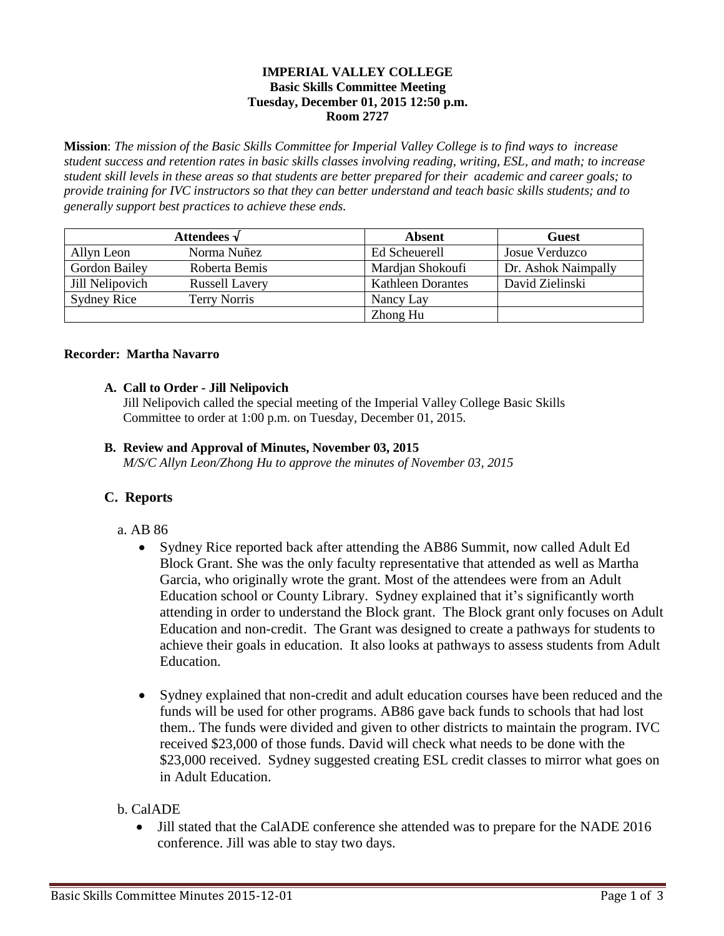### **IMPERIAL VALLEY COLLEGE Basic Skills Committee Meeting Tuesday, December 01, 2015 12:50 p.m. Room 2727**

**Mission**: *The mission of the Basic Skills Committee for Imperial Valley College is to find ways to increase student success and retention rates in basic skills classes involving reading, writing, ESL, and math; to increase student skill levels in these areas so that students are better prepared for their academic and career goals; to provide training for IVC instructors so that they can better understand and teach basic skills students; and to generally support best practices to achieve these ends.*

| Attendees $\sqrt{}$  |                       | <b>Absent</b>            | <b>Guest</b>        |
|----------------------|-----------------------|--------------------------|---------------------|
| Allyn Leon           | Norma Nuñez           | Ed Scheuerell            | Josue Verduzco      |
| <b>Gordon Bailey</b> | Roberta Bemis         | Mardian Shokoufi         | Dr. Ashok Naimpally |
| Jill Nelipovich      | <b>Russell Lavery</b> | <b>Kathleen Dorantes</b> | David Zielinski     |
| Sydney Rice          | <b>Terry Norris</b>   | Nancy Lay                |                     |
|                      |                       | Zhong Hu                 |                     |

#### **Recorder: Martha Navarro**

## **A. Call to Order - Jill Nelipovich**

Jill Nelipovich called the special meeting of the Imperial Valley College Basic Skills Committee to order at 1:00 p.m. on Tuesday, December 01, 2015.

## **B. Review and Approval of Minutes, November 03, 2015**

*M/S/C Allyn Leon/Zhong Hu to approve the minutes of November 03, 2015*

## **C. Reports**

- a. AB 86
	- Sydney Rice reported back after attending the AB86 Summit, now called Adult Ed Block Grant. She was the only faculty representative that attended as well as Martha Garcia, who originally wrote the grant. Most of the attendees were from an Adult Education school or County Library. Sydney explained that it's significantly worth attending in order to understand the Block grant. The Block grant only focuses on Adult Education and non-credit. The Grant was designed to create a pathways for students to achieve their goals in education. It also looks at pathways to assess students from Adult Education.
	- Sydney explained that non-credit and adult education courses have been reduced and the funds will be used for other programs. AB86 gave back funds to schools that had lost them.. The funds were divided and given to other districts to maintain the program. IVC received \$23,000 of those funds. David will check what needs to be done with the \$23,000 received. Sydney suggested creating ESL credit classes to mirror what goes on in Adult Education.

## b. CalADE

 Jill stated that the CalADE conference she attended was to prepare for the NADE 2016 conference. Jill was able to stay two days.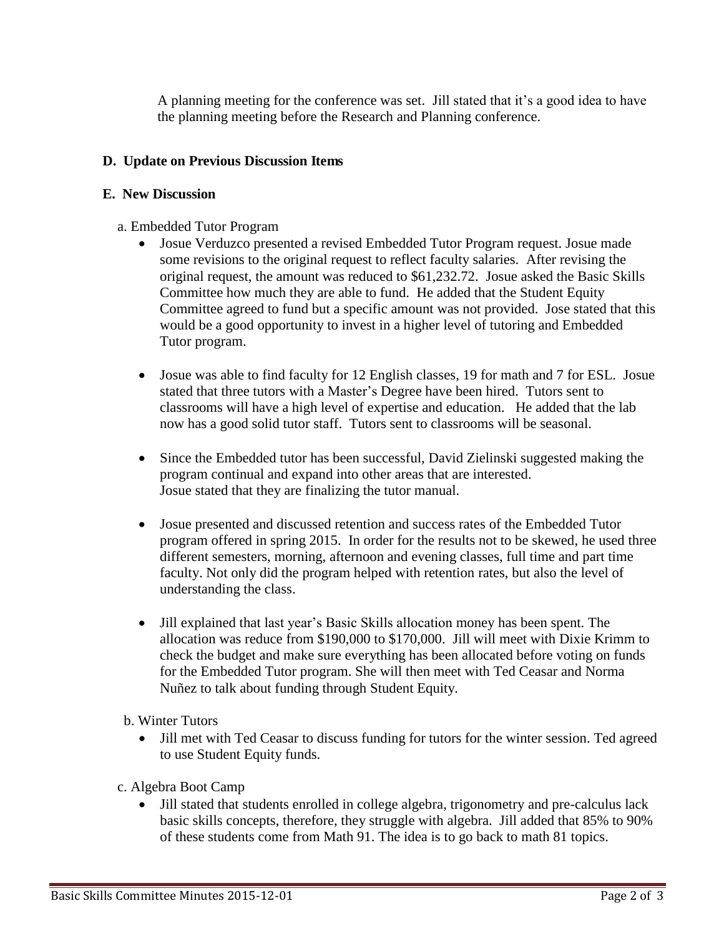A planning meeting for the conference was set. Jill stated that it's a good idea to have the planning meeting before the Research and Planning conference.

# **D. Update on Previous Discussion Items**

## **E. New Discussion**

- a. Embedded Tutor Program
	- Josue Verduzco presented a revised Embedded Tutor Program request. Josue made some revisions to the original request to reflect faculty salaries. After revising the original request, the amount was reduced to \$61,232.72. Josue asked the Basic Skills Committee how much they are able to fund. He added that the Student Equity Committee agreed to fund but a specific amount was not provided. Jose stated that this would be a good opportunity to invest in a higher level of tutoring and Embedded Tutor program.
	- Josue was able to find faculty for 12 English classes, 19 for math and 7 for ESL. Josue stated that three tutors with a Master's Degree have been hired. Tutors sent to classrooms will have a high level of expertise and education. He added that the lab now has a good solid tutor staff. Tutors sent to classrooms will be seasonal.
	- Since the Embedded tutor has been successful, David Zielinski suggested making the program continual and expand into other areas that are interested. Josue stated that they are finalizing the tutor manual.
	- Josue presented and discussed retention and success rates of the Embedded Tutor program offered in spring 2015. In order for the results not to be skewed, he used three different semesters, morning, afternoon and evening classes, full time and part time faculty. Not only did the program helped with retention rates, but also the level of understanding the class.
	- Jill explained that last year's Basic Skills allocation money has been spent. The allocation was reduce from \$190,000 to \$170,000. Jill will meet with Dixie Krimm to check the budget and make sure everything has been allocated before voting on funds for the Embedded Tutor program. She will then meet with Ted Ceasar and Norma Nuñez to talk about funding through Student Equity.
	- b. Winter Tutors
		- Jill met with Ted Ceasar to discuss funding for tutors for the winter session. Ted agreed to use Student Equity funds.
- c. Algebra Boot Camp
	- Jill stated that students enrolled in college algebra, trigonometry and pre-calculus lack basic skills concepts, therefore, they struggle with algebra. Jill added that 85% to 90% of these students come from Math 91. The idea is to go back to math 81 topics.